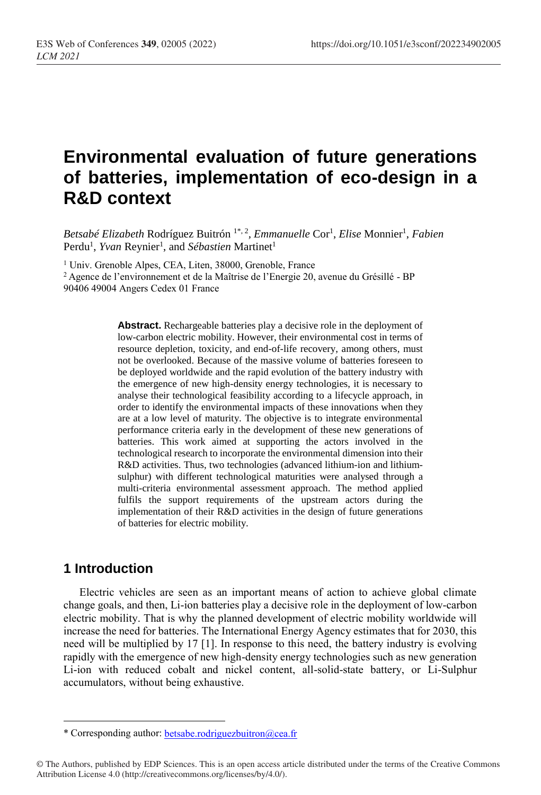# **Environmental evaluation of future generations of batteries, implementation of eco-design in a R&D context**

Betsabé Elizabeth Rodríguez Buitrón <sup>1\*, 2</sup>, Emmanuelle Cor<sup>1</sup>, Elise Monnier<sup>1</sup>, Fabien Perdu<sup>1</sup>, *Yvan* Reynier<sup>1</sup>, and *Sébastien* Martinet<sup>1</sup>

<sup>1</sup> Univ. Grenoble Alpes, CEA, Liten, 38000, Grenoble, France

<sup>2</sup> Agence de l'environnement et de la Maîtrise de l'Energie 20, avenue du Grésillé - BP 90406 49004 Angers Cedex 01 France

> **Abstract.** Rechargeable batteries play a decisive role in the deployment of low-carbon electric mobility. However, their environmental cost in terms of resource depletion, toxicity, and end-of-life recovery, among others, must not be overlooked. Because of the massive volume of batteries foreseen to be deployed worldwide and the rapid evolution of the battery industry with the emergence of new high-density energy technologies, it is necessary to analyse their technological feasibility according to a lifecycle approach, in order to identify the environmental impacts of these innovations when they are at a low level of maturity. The objective is to integrate environmental performance criteria early in the development of these new generations of batteries. This work aimed at supporting the actors involved in the technological research to incorporate the environmental dimension into their R&D activities. Thus, two technologies (advanced lithium-ion and lithiumsulphur) with different technological maturities were analysed through a multi-criteria environmental assessment approach. The method applied fulfils the support requirements of the upstream actors during the implementation of their R&D activities in the design of future generations of batteries for electric mobility.

# **1 Introduction**

 $\overline{a}$ 

Electric vehicles are seen as an important means of action to achieve global climate change goals, and then, Li-ion batteries play a decisive role in the deployment of low-carbon electric mobility. That is why the planned development of electric mobility worldwide will increase the need for batteries. The International Energy Agency estimates that for 2030, this need will be multiplied by 17 [1]. In response to this need, the battery industry is evolving rapidly with the emergence of new high-density energy technologies such as new generation Li-ion with reduced cobalt and nickel content, all-solid-state battery, or Li-Sulphur accumulators, without being exhaustive.

<sup>\*</sup> Corresponding author: [betsabe.rodriguezbuitron@cea.fr](mailto:author@email.org) 

<sup>©</sup> The Authors, published by EDP Sciences. This is an open access article distributed under the terms of the Creative Commons Attribution License 4.0 (http://creativecommons.org/licenses/by/4.0/).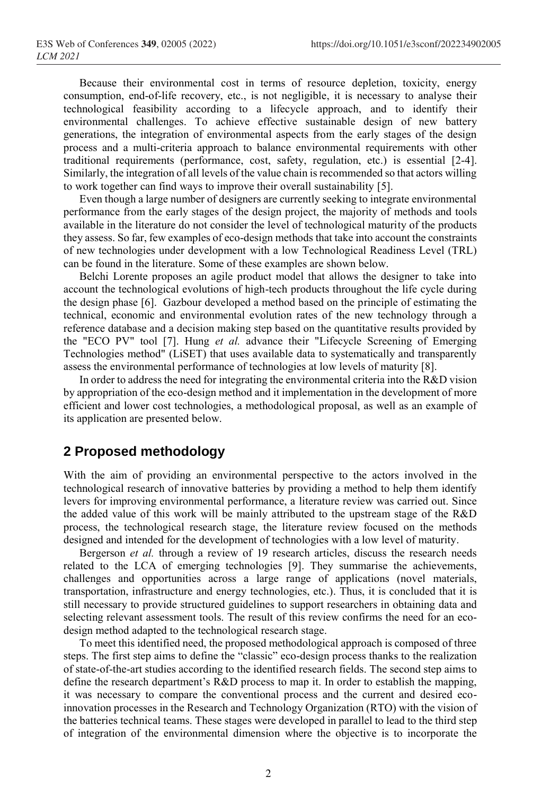Because their environmental cost in terms of resource depletion, toxicity, energy consumption, end-of-life recovery, etc., is not negligible, it is necessary to analyse their technological feasibility according to a lifecycle approach, and to identify their environmental challenges. To achieve effective sustainable design of new battery generations, the integration of environmental aspects from the early stages of the design process and a multi-criteria approach to balance environmental requirements with other traditional requirements (performance, cost, safety, regulation, etc.) is essential [2-4]. Similarly, the integration of all levels of the value chain is recommended so that actors willing to work together can find ways to improve their overall sustainability [5].

Even though a large number of designers are currently seeking to integrate environmental performance from the early stages of the design project, the majority of methods and tools available in the literature do not consider the level of technological maturity of the products they assess. So far, few examples of eco-design methods that take into account the constraints of new technologies under development with a low Technological Readiness Level (TRL) can be found in the literature. Some of these examples are shown below.

Belchi Lorente proposes an agile product model that allows the designer to take into account the technological evolutions of high-tech products throughout the life cycle during the design phase [6]. Gazbour developed a method based on the principle of estimating the technical, economic and environmental evolution rates of the new technology through a reference database and a decision making step based on the quantitative results provided by the "ECO PV" tool [7]. Hung *et al.* advance their "Lifecycle Screening of Emerging Technologies method" (LiSET) that uses available data to systematically and transparently assess the environmental performance of technologies at low levels of maturity [8].

In order to address the need for integrating the environmental criteria into the R&D vision by appropriation of the eco-design method and it implementation in the development of more efficient and lower cost technologies, a methodological proposal, as well as an example of its application are presented below.

### **2 Proposed methodology**

With the aim of providing an environmental perspective to the actors involved in the technological research of innovative batteries by providing a method to help them identify levers for improving environmental performance, a literature review was carried out. Since the added value of this work will be mainly attributed to the upstream stage of the R&D process, the technological research stage, the literature review focused on the methods designed and intended for the development of technologies with a low level of maturity.

Bergerson *et al.* through a review of 19 research articles, discuss the research needs related to the LCA of emerging technologies [9]. They summarise the achievements, challenges and opportunities across a large range of applications (novel materials, transportation, infrastructure and energy technologies, etc.). Thus, it is concluded that it is still necessary to provide structured guidelines to support researchers in obtaining data and selecting relevant assessment tools. The result of this review confirms the need for an ecodesign method adapted to the technological research stage.

To meet this identified need, the proposed methodological approach is composed of three steps. The first step aims to define the "classic" eco-design process thanks to the realization of state-of-the-art studies according to the identified research fields. The second step aims to define the research department's R&D process to map it. In order to establish the mapping, it was necessary to compare the conventional process and the current and desired ecoinnovation processes in the Research and Technology Organization (RTO) with the vision of the batteries technical teams. These stages were developed in parallel to lead to the third step of integration of the environmental dimension where the objective is to incorporate the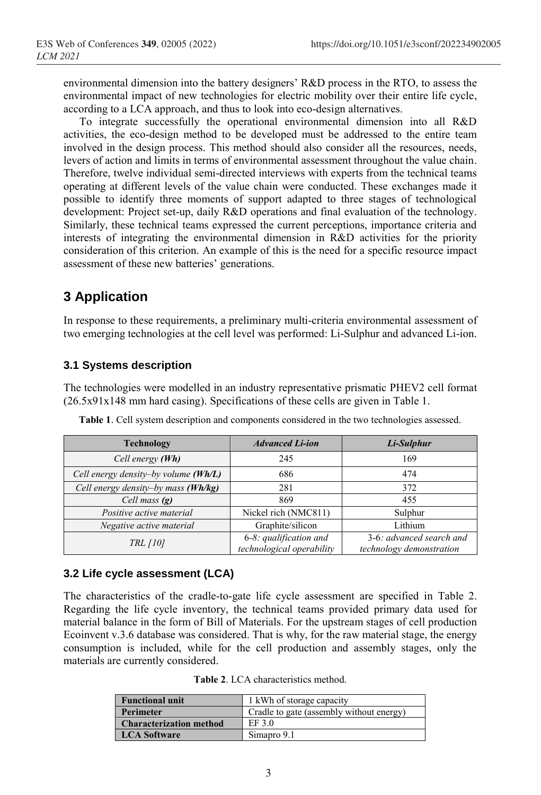environmental dimension into the battery designers' R&D process in the RTO, to assess the environmental impact of new technologies for electric mobility over their entire life cycle, according to a LCA approach, and thus to look into eco-design alternatives.

To integrate successfully the operational environmental dimension into all R&D activities, the eco-design method to be developed must be addressed to the entire team involved in the design process. This method should also consider all the resources, needs, levers of action and limits in terms of environmental assessment throughout the value chain. Therefore, twelve individual semi-directed interviews with experts from the technical teams operating at different levels of the value chain were conducted. These exchanges made it possible to identify three moments of support adapted to three stages of technological development: Project set-up, daily R&D operations and final evaluation of the technology. Similarly, these technical teams expressed the current perceptions, importance criteria and interests of integrating the environmental dimension in R&D activities for the priority consideration of this criterion. An example of this is the need for a specific resource impact assessment of these new batteries' generations.

# **3 Application**

In response to these requirements, a preliminary multi-criteria environmental assessment of two emerging technologies at the cell level was performed: Li-Sulphur and advanced Li-ion.

### **3.1 Systems description**

The technologies were modelled in an industry representative prismatic PHEV2 cell format (26.5x91x148 mm hard casing). Specifications of these cells are given in Table 1.

| <b>Technology</b>                    | <b>Advanced Li-ion</b>                              | Li-Sulphur                                           |  |  |
|--------------------------------------|-----------------------------------------------------|------------------------------------------------------|--|--|
| Cell energy (Wh)                     | 245                                                 | 169                                                  |  |  |
| Cell energy density-by volume (Wh/L) | 686                                                 | 474                                                  |  |  |
| Cell energy density-by mass (Wh/kg)  | 281                                                 | 372                                                  |  |  |
| Cell mass $(g)$                      | 869                                                 | 455                                                  |  |  |
| Positive active material             | Nickel rich (NMC811)                                | Sulphur                                              |  |  |
| Negative active material             | Graphite/silicon                                    | Lithium                                              |  |  |
| <i>TRL [10]</i>                      | 6-8: qualification and<br>technological operability | 3-6: advanced search and<br>technology demonstration |  |  |

**Table 1**. Cell system description and components considered in the two technologies assessed.

### **3.2 Life cycle assessment (LCA)**

The characteristics of the cradle-to-gate life cycle assessment are specified in Table 2. Regarding the life cycle inventory, the technical teams provided primary data used for material balance in the form of Bill of Materials. For the upstream stages of cell production Ecoinvent v.3.6 database was considered. That is why, for the raw material stage, the energy consumption is included, while for the cell production and assembly stages, only the materials are currently considered.

**Table 2**. LCA characteristics method.

| <b>Functional unit</b>         | 1 kWh of storage capacity                |
|--------------------------------|------------------------------------------|
| Perimeter                      | Cradle to gate (assembly without energy) |
| <b>Characterization method</b> | EF 3.0                                   |
| <b>LCA Software</b>            | Simapro 9.1                              |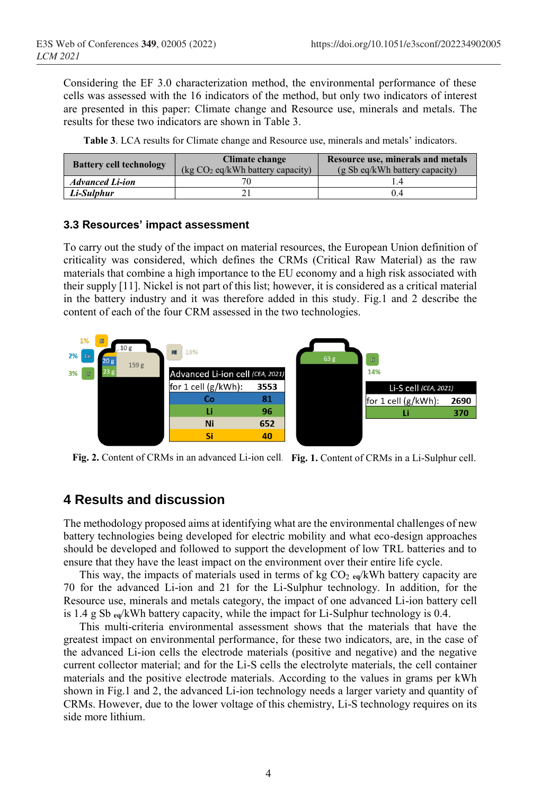Considering the EF 3.0 characterization method, the environmental performance of these cells was assessed with the 16 indicators of the method, but only two indicators of interest are presented in this paper: Climate change and Resource use, minerals and metals. The results for these two indicators are shown in [Table 3.](#page-3-0)

|  |  |  |  |  |  | Table 3. LCA results for Climate change and Resource use, minerals and metals' indicators. |
|--|--|--|--|--|--|--------------------------------------------------------------------------------------------|
|  |  |  |  |  |  |                                                                                            |

<span id="page-3-0"></span>

| <b>Battery cell technology</b> | Climate change<br>$\log CO_2$ eq/kWh battery capacity) | Resource use, minerals and metals<br>$(g Sb eq/kWh$ battery capacity) |  |  |  |
|--------------------------------|--------------------------------------------------------|-----------------------------------------------------------------------|--|--|--|
| <b>Advanced Li-ion</b>         |                                                        |                                                                       |  |  |  |
| Li-Sulphur                     |                                                        | 0.4                                                                   |  |  |  |

#### **3.3 Resources' impact assessment**

To carry out the study of the impact on material resources, the European Union definition of criticality was considered, which defines the CRMs (Critical Raw Material) as the raw materials that combine a high importance to the EU economy and a high risk associated with their supply [11]. Nickel is not part of this list; however, it is considered as a critical material in the battery industry and it was therefore added in this study. Fig.1 and 2 describe the content of each of the four CRM assessed in the two technologies.



**Fig. 2.** Content of CRMs in an advanced Li-ion cell. **Fig. 1.** Content of CRMs in a Li-Sulphur cell.

# **4 Results and discussion**

The methodology proposed aims at identifying what are the environmental challenges of new battery technologies being developed for electric mobility and what eco-design approaches should be developed and followed to support the development of low TRL batteries and to ensure that they have the least impact on the environment over their entire life cycle.

This way, the impacts of materials used in terms of kg CO<sup>2</sup> **eq**/kWh battery capacity are 70 for the advanced Li-ion and 21 for the Li-Sulphur technology. In addition, for the Resource use, minerals and metals category, the impact of one advanced Li-ion battery cell is 1.4 g Sb **eq**/kWh battery capacity, while the impact for Li-Sulphur technology is 0.4.

This multi-criteria environmental assessment shows that the materials that have the greatest impact on environmental performance, for these two indicators, are, in the case of the advanced Li-ion cells the electrode materials (positive and negative) and the negative current collector material; and for the Li-S cells the electrolyte materials, the cell container materials and the positive electrode materials. According to the values in grams per kWh shown in Fig.1 and 2, the advanced Li-ion technology needs a larger variety and quantity of CRMs. However, due to the lower voltage of this chemistry, Li-S technology requires on its side more lithium.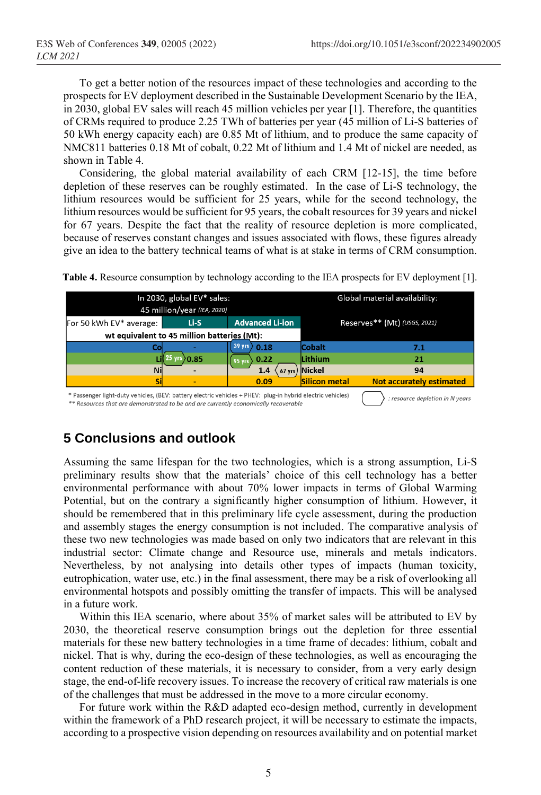To get a better notion of the resources impact of these technologies and according to the prospects for EV deployment described in the Sustainable Development Scenario by the IEA, in 2030, global EV sales will reach 45 million vehicles per year [1]. Therefore, the quantities of CRMs required to produce 2.25 TWh of batteries per year (45 million of Li-S batteries of 50 kWh energy capacity each) are 0.85 Mt of lithium, and to produce the same capacity of NMC811 batteries 0.18 Mt of cobalt, 0.22 Mt of lithium and 1.4 Mt of nickel are needed, as shown in Table 4.

Considering, the global material availability of each CRM [12-15], the time before depletion of these reserves can be roughly estimated. In the case of Li-S technology, the lithium resources would be sufficient for 25 years, while for the second technology, the lithium resources would be sufficient for 95 years, the cobalt resources for 39 years and nickel for 67 years. Despite the fact that the reality of resource depletion is more complicated, because of reserves constant changes and issues associated with flows, these figures already give an idea to the battery technical teams of what is at stake in terms of CRM consumption.

|                                                                                                                                                                                                   | In 2030, global EV* sales:                  | Global material availability: |                      |                                 |  |  |
|---------------------------------------------------------------------------------------------------------------------------------------------------------------------------------------------------|---------------------------------------------|-------------------------------|----------------------|---------------------------------|--|--|
|                                                                                                                                                                                                   | 45 million/year (IEA, 2020)                 |                               |                      |                                 |  |  |
| For 50 kWh EV* average:                                                                                                                                                                           | Li-S                                        | <b>Advanced Li-ion</b>        |                      | Reserves** (Mt) (USGS, 2021)    |  |  |
|                                                                                                                                                                                                   | wt equivalent to 45 million batteries (Mt): |                               |                      |                                 |  |  |
|                                                                                                                                                                                                   |                                             | 39 yrs<br>0.18                | <b>Cobalt</b>        | 7.1                             |  |  |
|                                                                                                                                                                                                   | 1.85                                        | 0.22<br>$95 \text{ yrs}$      | Lithium              | 21                              |  |  |
| Ni                                                                                                                                                                                                |                                             | 1.4<br>67 vrs                 | <b>Nickel</b>        | 94                              |  |  |
|                                                                                                                                                                                                   |                                             | 0.09                          | <b>Silicon metal</b> | <b>Not accurately estimated</b> |  |  |
| * Passenger light-duty vehicles, (BEV: battery electric vehicles + PHEV: plug-in hybrid electric vehicles)<br>** Resources that are demonstrated to be and are currently economically recoverable | : resource depletion in N years             |                               |                      |                                 |  |  |

**Table 4.** Resource consumption by technology according to the IEA prospects for EV deployment [1].

# **5 Conclusions and outlook**

Assuming the same lifespan for the two technologies, which is a strong assumption, Li-S preliminary results show that the materials' choice of this cell technology has a better environmental performance with about 70% lower impacts in terms of Global Warming Potential, but on the contrary a significantly higher consumption of lithium. However, it should be remembered that in this preliminary life cycle assessment, during the production and assembly stages the energy consumption is not included. The comparative analysis of these two new technologies was made based on only two indicators that are relevant in this industrial sector: Climate change and Resource use, minerals and metals indicators. Nevertheless, by not analysing into details other types of impacts (human toxicity, eutrophication, water use, etc.) in the final assessment, there may be a risk of overlooking all environmental hotspots and possibly omitting the transfer of impacts. This will be analysed in a future work.

Within this IEA scenario, where about 35% of market sales will be attributed to EV by 2030, the theoretical reserve consumption brings out the depletion for three essential materials for these new battery technologies in a time frame of decades: lithium, cobalt and nickel. That is why, during the eco-design of these technologies, as well as encouraging the content reduction of these materials, it is necessary to consider, from a very early design stage, the end-of-life recovery issues. To increase the recovery of critical raw materials is one of the challenges that must be addressed in the move to a more circular economy.

For future work within the R&D adapted eco-design method, currently in development within the framework of a PhD research project, it will be necessary to estimate the impacts, according to a prospective vision depending on resources availability and on potential market